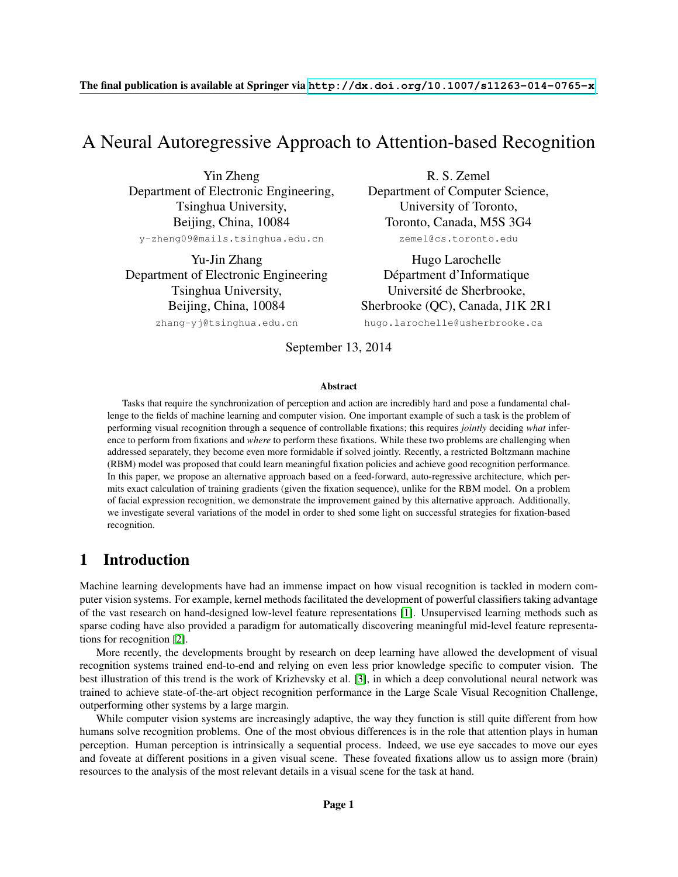# A Neural Autoregressive Approach to Attention-based Recognition

Yin Zheng Department of Electronic Engineering, Tsinghua University, Beijing, China, 10084 y-zheng09@mails.tsinghua.edu.cn

Yu-Jin Zhang Department of Electronic Engineering Tsinghua University, Beijing, China, 10084

zhang-yj@tsinghua.edu.cn

R. S. Zemel Department of Computer Science, University of Toronto, Toronto, Canada, M5S 3G4 zemel@cs.toronto.edu

Hugo Larochelle Départment d'Informatique Universite de Sherbrooke, ´ Sherbrooke (QC), Canada, J1K 2R1 hugo.larochelle@usherbrooke.ca

September 13, 2014

#### Abstract

Tasks that require the synchronization of perception and action are incredibly hard and pose a fundamental challenge to the fields of machine learning and computer vision. One important example of such a task is the problem of performing visual recognition through a sequence of controllable fixations; this requires *jointly* deciding *what* inference to perform from fixations and *where* to perform these fixations. While these two problems are challenging when addressed separately, they become even more formidable if solved jointly. Recently, a restricted Boltzmann machine (RBM) model was proposed that could learn meaningful fixation policies and achieve good recognition performance. In this paper, we propose an alternative approach based on a feed-forward, auto-regressive architecture, which permits exact calculation of training gradients (given the fixation sequence), unlike for the RBM model. On a problem of facial expression recognition, we demonstrate the improvement gained by this alternative approach. Additionally, we investigate several variations of the model in order to shed some light on successful strategies for fixation-based recognition.

### 1 Introduction

Machine learning developments have had an immense impact on how visual recognition is tackled in modern computer vision systems. For example, kernel methods facilitated the development of powerful classifiers taking advantage of the vast research on hand-designed low-level feature representations [\[1\]](#page-15-0). Unsupervised learning methods such as sparse coding have also provided a paradigm for automatically discovering meaningful mid-level feature representations for recognition [\[2\]](#page-15-1).

More recently, the developments brought by research on deep learning have allowed the development of visual recognition systems trained end-to-end and relying on even less prior knowledge specific to computer vision. The best illustration of this trend is the work of Krizhevsky et al. [\[3\]](#page-15-2), in which a deep convolutional neural network was trained to achieve state-of-the-art object recognition performance in the Large Scale Visual Recognition Challenge, outperforming other systems by a large margin.

While computer vision systems are increasingly adaptive, the way they function is still quite different from how humans solve recognition problems. One of the most obvious differences is in the role that attention plays in human perception. Human perception is intrinsically a sequential process. Indeed, we use eye saccades to move our eyes and foveate at different positions in a given visual scene. These foveated fixations allow us to assign more (brain) resources to the analysis of the most relevant details in a visual scene for the task at hand.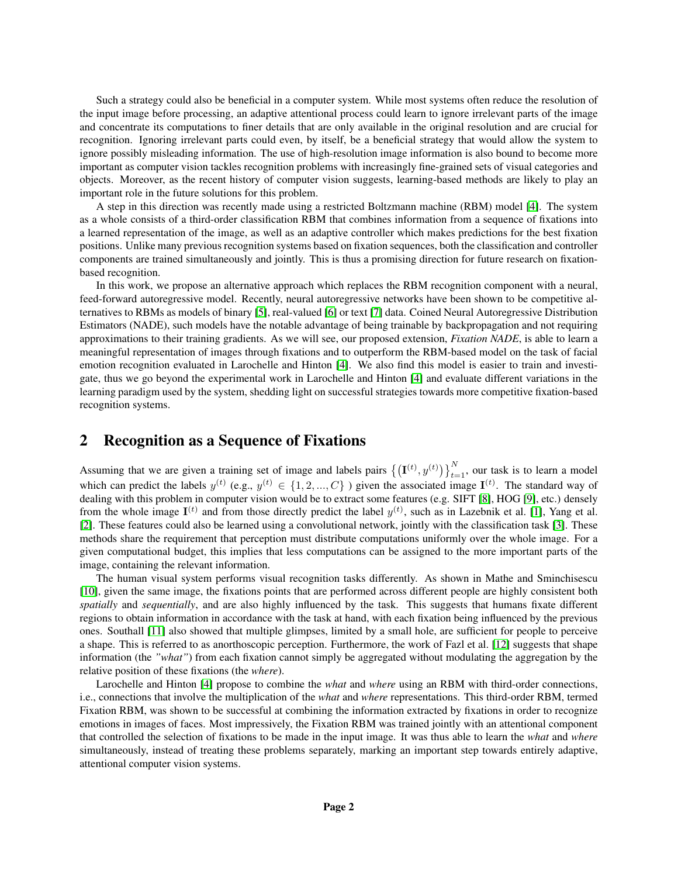Such a strategy could also be beneficial in a computer system. While most systems often reduce the resolution of the input image before processing, an adaptive attentional process could learn to ignore irrelevant parts of the image and concentrate its computations to finer details that are only available in the original resolution and are crucial for recognition. Ignoring irrelevant parts could even, by itself, be a beneficial strategy that would allow the system to ignore possibly misleading information. The use of high-resolution image information is also bound to become more important as computer vision tackles recognition problems with increasingly fine-grained sets of visual categories and objects. Moreover, as the recent history of computer vision suggests, learning-based methods are likely to play an important role in the future solutions for this problem.

A step in this direction was recently made using a restricted Boltzmann machine (RBM) model [\[4\]](#page-15-3). The system as a whole consists of a third-order classification RBM that combines information from a sequence of fixations into a learned representation of the image, as well as an adaptive controller which makes predictions for the best fixation positions. Unlike many previous recognition systems based on fixation sequences, both the classification and controller components are trained simultaneously and jointly. This is thus a promising direction for future research on fixationbased recognition.

In this work, we propose an alternative approach which replaces the RBM recognition component with a neural, feed-forward autoregressive model. Recently, neural autoregressive networks have been shown to be competitive alternatives to RBMs as models of binary [\[5\]](#page-15-4), real-valued [\[6\]](#page-15-5) or text [\[7\]](#page-15-6) data. Coined Neural Autoregressive Distribution Estimators (NADE), such models have the notable advantage of being trainable by backpropagation and not requiring approximations to their training gradients. As we will see, our proposed extension, *Fixation NADE*, is able to learn a meaningful representation of images through fixations and to outperform the RBM-based model on the task of facial emotion recognition evaluated in Larochelle and Hinton [\[4\]](#page-15-3). We also find this model is easier to train and investigate, thus we go beyond the experimental work in Larochelle and Hinton [\[4\]](#page-15-3) and evaluate different variations in the learning paradigm used by the system, shedding light on successful strategies towards more competitive fixation-based recognition systems.

### <span id="page-1-0"></span>2 Recognition as a Sequence of Fixations

Assuming that we are given a training set of image and labels pairs  $\{(\mathbf{I}^{(t)}, y^{(t)})\}_{t=1}^N$ , our task is to learn a model which can predict the labels  $y^{(t)}$  (e.g.,  $y^{(t)} \in \{1, 2, ..., C\}$ ) given the associated image  $I^{(t)}$ . The standard way of dealing with this problem in computer vision would be to extract some features (e.g. SIFT [\[8\]](#page-15-7), HOG [\[9\]](#page-15-8), etc.) densely from the whole image  $I^{(t)}$  and from those directly predict the label  $y^{(t)}$ , such as in Lazebnik et al. [\[1\]](#page-15-0), Yang et al. [\[2\]](#page-15-1). These features could also be learned using a convolutional network, jointly with the classification task [\[3\]](#page-15-2). These methods share the requirement that perception must distribute computations uniformly over the whole image. For a given computational budget, this implies that less computations can be assigned to the more important parts of the image, containing the relevant information.

The human visual system performs visual recognition tasks differently. As shown in Mathe and Sminchisescu [\[10\]](#page-15-9), given the same image, the fixations points that are performed across different people are highly consistent both *spatially* and *sequentially*, and are also highly influenced by the task. This suggests that humans fixate different regions to obtain information in accordance with the task at hand, with each fixation being influenced by the previous ones. Southall [\[11\]](#page-15-10) also showed that multiple glimpses, limited by a small hole, are sufficient for people to perceive a shape. This is referred to as anorthoscopic perception. Furthermore, the work of Fazl et al. [\[12\]](#page-15-11) suggests that shape information (the *"what"*) from each fixation cannot simply be aggregated without modulating the aggregation by the relative position of these fixations (the *where*).

Larochelle and Hinton [\[4\]](#page-15-3) propose to combine the *what* and *where* using an RBM with third-order connections, i.e., connections that involve the multiplication of the *what* and *where* representations. This third-order RBM, termed Fixation RBM, was shown to be successful at combining the information extracted by fixations in order to recognize emotions in images of faces. Most impressively, the Fixation RBM was trained jointly with an attentional component that controlled the selection of fixations to be made in the input image. It was thus able to learn the *what* and *where* simultaneously, instead of treating these problems separately, marking an important step towards entirely adaptive, attentional computer vision systems.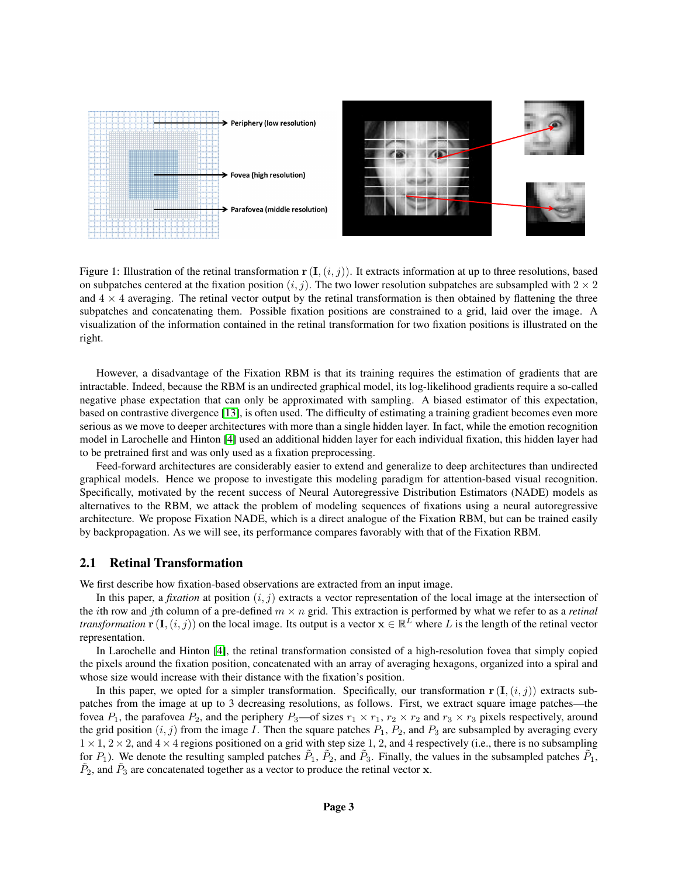

<span id="page-2-0"></span>Figure 1: Illustration of the retinal transformation  $\mathbf{r}(\mathbf{I}, (i, j))$ . It extracts information at up to three resolutions, based on subpatches centered at the fixation position  $(i, j)$ . The two lower resolution subpatches are subsampled with  $2 \times 2$ and  $4 \times 4$  averaging. The retinal vector output by the retinal transformation is then obtained by flattening the three subpatches and concatenating them. Possible fixation positions are constrained to a grid, laid over the image. A visualization of the information contained in the retinal transformation for two fixation positions is illustrated on the right.

However, a disadvantage of the Fixation RBM is that its training requires the estimation of gradients that are intractable. Indeed, because the RBM is an undirected graphical model, its log-likelihood gradients require a so-called negative phase expectation that can only be approximated with sampling. A biased estimator of this expectation, based on contrastive divergence [\[13\]](#page-15-12), is often used. The difficulty of estimating a training gradient becomes even more serious as we move to deeper architectures with more than a single hidden layer. In fact, while the emotion recognition model in Larochelle and Hinton [\[4\]](#page-15-3) used an additional hidden layer for each individual fixation, this hidden layer had to be pretrained first and was only used as a fixation preprocessing.

Feed-forward architectures are considerably easier to extend and generalize to deep architectures than undirected graphical models. Hence we propose to investigate this modeling paradigm for attention-based visual recognition. Specifically, motivated by the recent success of Neural Autoregressive Distribution Estimators (NADE) models as alternatives to the RBM, we attack the problem of modeling sequences of fixations using a neural autoregressive architecture. We propose Fixation NADE, which is a direct analogue of the Fixation RBM, but can be trained easily by backpropagation. As we will see, its performance compares favorably with that of the Fixation RBM.

#### <span id="page-2-1"></span>2.1 Retinal Transformation

We first describe how fixation-based observations are extracted from an input image.

In this paper, a *fixation* at position  $(i, j)$  extracts a vector representation of the local image at the intersection of the *i*th row and *j*th column of a pre-defined  $m \times n$  grid. This extraction is performed by what we refer to as a *retinal transformation*  $\mathbf{r}(\mathbf{I}, (i, j))$  on the local image. Its output is a vector  $\mathbf{x} \in \mathbb{R}^L$  where L is the length of the retinal vector representation.

In Larochelle and Hinton [\[4\]](#page-15-3), the retinal transformation consisted of a high-resolution fovea that simply copied the pixels around the fixation position, concatenated with an array of averaging hexagons, organized into a spiral and whose size would increase with their distance with the fixation's position.

In this paper, we opted for a simpler transformation. Specifically, our transformation  $\mathbf{r}(\mathbf{I}, (i, j))$  extracts subpatches from the image at up to 3 decreasing resolutions, as follows. First, we extract square image patches—the fovea  $P_1$ , the parafovea  $P_2$ , and the periphery  $P_3$ —of sizes  $r_1 \times r_1$ ,  $r_2 \times r_2$  and  $r_3 \times r_3$  pixels respectively, around the grid position  $(i, j)$  from the image I. Then the square patches  $P_1$ ,  $P_2$ , and  $P_3$  are subsampled by averaging every  $1 \times 1$ ,  $2 \times 2$ , and  $4 \times 4$  regions positioned on a grid with step size 1, 2, and 4 respectively (i.e., there is no subsampling for  $P_1$ ). We denote the resulting sampled patches  $\tilde{P}_1$ ,  $\tilde{P}_2$ , and  $\tilde{P}_3$ . Finally, the values in the subsampled patches  $\tilde{P}_1$ ,  $\tilde{P}_2$ , and  $\tilde{P}_3$  are concatenated together as a vector to produce the retinal vector x.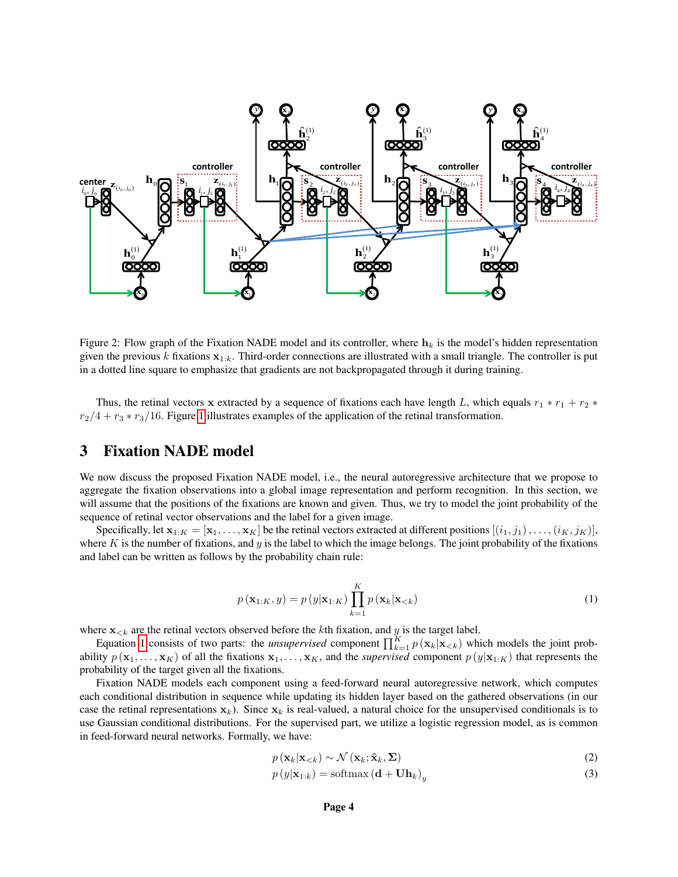

<span id="page-3-1"></span>Figure 2: Flow graph of the Fixation NADE model and its controller, where  $h_k$  is the model's hidden representation given the previous k fixations  $x_{1:k}$ . Third-order connections are illustrated with a small triangle. The controller is put in a dotted line square to emphasize that gradients are not backpropagated through it during training.

Thus, the retinal vectors x extracted by a sequence of fixations each have length L, which equals  $r_1 * r_1 + r_2 *$  $r_2/4 + r_3 * r_3/16$ . Figure [1](#page-2-0) illustrates examples of the application of the retinal transformation.

### <span id="page-3-3"></span>3 Fixation NADE model

We now discuss the proposed Fixation NADE model, i.e., the neural autoregressive architecture that we propose to aggregate the fixation observations into a global image representation and perform recognition. In this section, we will assume that the positions of the fixations are known and given. Thus, we try to model the joint probability of the sequence of retinal vector observations and the label for a given image.

Specifically, let  $\mathbf{x}_{1:K} = [\mathbf{x}_1, \dots, \mathbf{x}_K]$  be the retinal vectors extracted at different positions  $[(i_1, j_1), \dots, (i_K, j_K)],$ where  $K$  is the number of fixations, and  $y$  is the label to which the image belongs. The joint probability of the fixations and label can be written as follows by the probability chain rule:

<span id="page-3-0"></span>
$$
p(\mathbf{x}_{1:K}, y) = p(y|\mathbf{x}_{1:K}) \prod_{k=1}^{K} p(\mathbf{x}_k|\mathbf{x}_{< k})
$$
\n(1)

where  $\mathbf{x}_{< k}$  are the retinal vectors observed before the kth fixation, and  $y$  is the target label.

Equation [1](#page-3-0) consists of two parts: the *unsupervised* component  $\prod_{k=1}^{K} p(\mathbf{x}_k | \mathbf{x}_{< k})$  which models the joint probability  $p(\mathbf{x}_1,\ldots,\mathbf{x}_K)$  of all the fixations  $\mathbf{x}_1,\ldots,\mathbf{x}_K$ , and the *supervised* component  $p(y|\mathbf{x}_{1:K})$  that represents the probability of the target given all the fixations.

Fixation NADE models each component using a feed-forward neural autoregressive network, which computes each conditional distribution in sequence while updating its hidden layer based on the gathered observations (in our case the retinal representations  $x_k$ ). Since  $x_k$  is real-valued, a natural choice for the unsupervised conditionals is to use Gaussian conditional distributions. For the supervised part, we utilize a logistic regression model, as is common in feed-forward neural networks. Formally, we have:

<span id="page-3-2"></span>
$$
p\left(\mathbf{x}_k|\mathbf{x}_{< k}\right) \sim \mathcal{N}\left(\mathbf{x}_k;\hat{\mathbf{x}}_k,\boldsymbol{\Sigma}\right) \tag{2}
$$

$$
p(y|\mathbf{x}_{1:k}) = \text{softmax}(\mathbf{d} + \mathbf{U}\mathbf{h}_k)_y
$$
\n(3)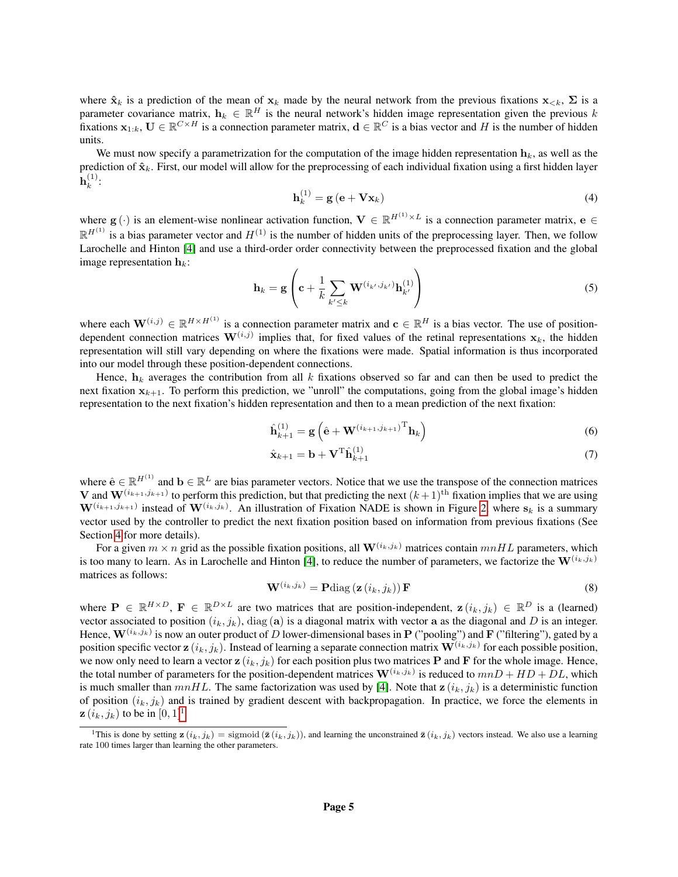where  $\hat{\mathbf{x}}_k$  is a prediction of the mean of  $\mathbf{x}_k$  made by the neural network from the previous fixations  $\mathbf{x}_{\leq k}$ ,  $\Sigma$  is a parameter covariance matrix,  $\mathbf{h}_k \in \mathbb{R}^H$  is the neural network's hidden image representation given the previous k fixations  $x_{1:k}$ ,  $U \in \mathbb{R}^{C \times H}$  is a connection parameter matrix,  $d \in \mathbb{R}^C$  is a bias vector and H is the number of hidden units.

We must now specify a parametrization for the computation of the image hidden representation  $h_k$ , as well as the prediction of  $\hat{\mathbf{x}}_k$ . First, our model will allow for the preprocessing of each individual fixation using a first hidden layer  $\mathbf{h}_k^{(1)}$  $\binom{1}{k}$ :

$$
\mathbf{h}_k^{(1)} = \mathbf{g} \left( \mathbf{e} + \mathbf{V} \mathbf{x}_k \right) \tag{4}
$$

where  $g(\cdot)$  is an element-wise nonlinear activation function,  $V \in \mathbb{R}^{H^{(1)} \times L}$  is a connection parameter matrix,  $e \in$  $\mathbb{R}^{H^{(1)}}$  is a bias parameter vector and  $H^{(1)}$  is the number of hidden units of the preprocessing layer. Then, we follow Larochelle and Hinton [\[4\]](#page-15-3) and use a third-order order connectivity between the preprocessed fixation and the global image representation  $h_k$ :

$$
\mathbf{h}_{k} = \mathbf{g} \left( \mathbf{c} + \frac{1}{k} \sum_{k' \leq k} \mathbf{W}^{(i_{k'}, j_{k'})} \mathbf{h}_{k'}^{(1)} \right)
$$
(5)

where each  $\mathbf{W}^{(i,j)} \in \mathbb{R}^{H \times H^{(1)}}$  is a connection parameter matrix and  $\mathbf{c} \in \mathbb{R}^H$  is a bias vector. The use of positiondependent connection matrices  $W^{(i,j)}$  implies that, for fixed values of the retinal representations  $x_k$ , the hidden representation will still vary depending on where the fixations were made. Spatial information is thus incorporated into our model through these position-dependent connections.

Hence,  $h_k$  averages the contribution from all k fixations observed so far and can then be used to predict the next fixation  $x_{k+1}$ . To perform this prediction, we "unroll" the computations, going from the global image's hidden representation to the next fixation's hidden representation and then to a mean prediction of the next fixation:

$$
\hat{\mathbf{h}}_{k+1}^{(1)} = \mathbf{g} \left( \hat{\mathbf{e}} + \mathbf{W}^{(i_{k+1}, j_{k+1})}^{\mathrm{T}} \mathbf{h}_k \right)
$$
\n(6)

$$
\hat{\mathbf{x}}_{k+1} = \mathbf{b} + \mathbf{V}^{\mathrm{T}} \hat{\mathbf{h}}_{k+1}^{(1)} \tag{7}
$$

where  $\hat{\mathbf{e}} \in \mathbb{R}^{H^{(1)}}$  and  $\mathbf{b} \in \mathbb{R}^L$  are bias parameter vectors. Notice that we use the transpose of the connection matrices V and  $W^{(i_{k+1},j_{k+1})}$  to perform this prediction, but that predicting the next  $(k+1)$ <sup>th</sup> fixation implies that we are using  $W^{(i_{k+1},j_{k+1})}$  instead of  $W^{(i_k,j_k)}$ . An illustration of Fixation NADE is shown in Figure [2,](#page-3-1) where  $s_k$  is a summary vector used by the controller to predict the next fixation position based on information from previous fixations (See Section [4](#page-6-0) for more details).

For a given  $m \times n$  grid as the possible fixation positions, all  $\mathbf{W}^{(i_k,j_k)}$  matrices contain  $mnHL$  parameters, which is too many to learn. As in Larochelle and Hinton [\[4\]](#page-15-3), to reduce the number of parameters, we factorize the  $W^{(i_k,j_k)}$ matrices as follows:

$$
\mathbf{W}^{(i_k,j_k)} = \mathbf{P} \text{diag}\left(\mathbf{z}\left(i_k,j_k\right)\right) \mathbf{F} \tag{8}
$$

where  $P \in \mathbb{R}^{H \times D}$ ,  $F \in \mathbb{R}^{D \times L}$  are two matrices that are position-independent,  $z(i_k, j_k) \in \mathbb{R}^{D}$  is a (learned) vector associated to position  $(i_k, j_k)$ , diag (a) is a diagonal matrix with vector a as the diagonal and D is an integer. Hence,  $W^{(i_k,j_k)}$  is now an outer product of  $D$  lower-dimensional bases in  $P$  ("pooling") and  $F$  ("filtering"), gated by a position specific vector  $\mathbf{z}\left(i_k,j_k\right)$ . Instead of learning a separate connection matrix  $\mathbf{W}^{\left(i_k,j_k\right)}$  for each possible position, we now only need to learn a vector  $z(i_k, j_k)$  for each position plus two matrices P and F for the whole image. Hence, the total number of parameters for the position-dependent matrices  $\mathbf{W}^{(i_k,j_k)}$  is reduced to  $mnD + HD + DL$ , which is much smaller than  $mnHL$ . The same factorization was used by [\[4\]](#page-15-3). Note that  $z(i_k, j_k)$  is a deterministic function of position  $(i_k, j_k)$  and is trained by gradient descent with backpropagation. In practice, we force the elements in  $z(i_k, j_k)$  to be in  $[0, 1]$  $[0, 1]$  $[0, 1]$ <sup>1</sup>

<span id="page-4-0"></span><sup>&</sup>lt;sup>1</sup>This is done by setting  $z(i_k, j_k) =$  sigmoid  $(\bar{z}(i_k, j_k))$ , and learning the unconstrained  $\bar{z}(i_k, j_k)$  vectors instead. We also use a learning rate 100 times larger than learning the other parameters.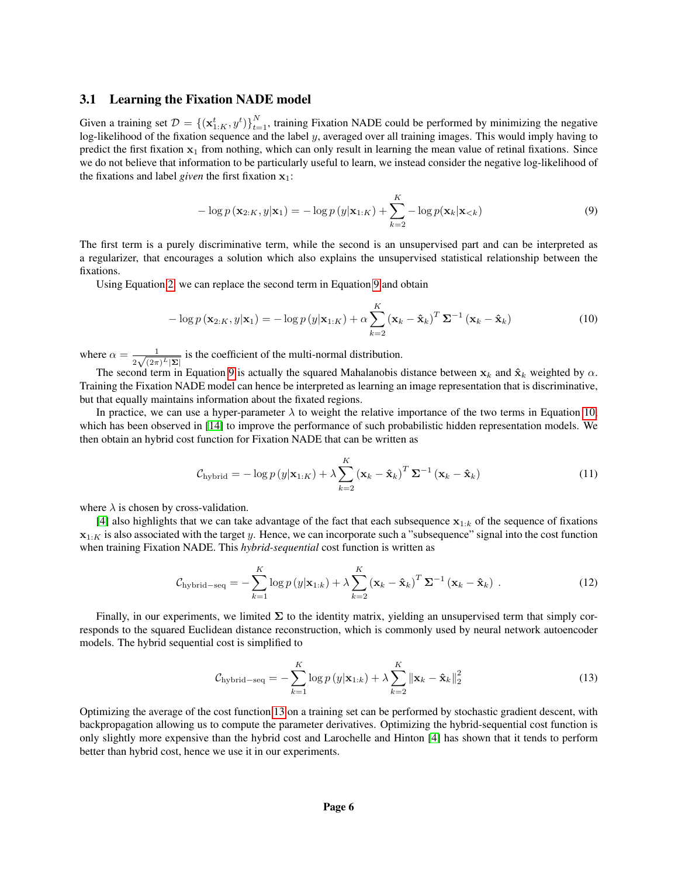#### 3.1 Learning the Fixation NADE model

Given a training set  $\mathcal{D} = \{(\mathbf{x}_{1:K}^t, y^t)\}_{t=1}^N$ , training Fixation NADE could be performed by minimizing the negative log-likelihood of the fixation sequence and the label  $y$ , averaged over all training images. This would imply having to predict the first fixation  $x_1$  from nothing, which can only result in learning the mean value of retinal fixations. Since we do not believe that information to be particularly useful to learn, we instead consider the negative log-likelihood of the fixations and label *given* the first fixation  $x_1$ :

<span id="page-5-0"></span>
$$
-\log p\left(\mathbf{x}_{2:K}, y|\mathbf{x}_1\right) = -\log p\left(y|\mathbf{x}_{1:K}\right) + \sum_{k=2}^{K} -\log p(\mathbf{x}_k|\mathbf{x}_{< k})\tag{9}
$$

The first term is a purely discriminative term, while the second is an unsupervised part and can be interpreted as a regularizer, that encourages a solution which also explains the unsupervised statistical relationship between the fixations.

Using Equation [2,](#page-3-2) we can replace the second term in Equation [9](#page-5-0) and obtain

<span id="page-5-1"></span>
$$
-\log p\left(\mathbf{x}_{2:K}, y|\mathbf{x}_1\right) = -\log p\left(y|\mathbf{x}_{1:K}\right) + \alpha \sum_{k=2}^{K} \left(\mathbf{x}_k - \hat{\mathbf{x}}_k\right)^T \Sigma^{-1} \left(\mathbf{x}_k - \hat{\mathbf{x}}_k\right)
$$
(10)

where  $\alpha = \frac{1}{\sqrt{2}}$  $\frac{1}{2\sqrt{(2\pi)^L |\Sigma|}}$  is the coefficient of the multi-normal distribution.

The second term in Equation [9](#page-5-0) is actually the squared Mahalanobis distance between  $x_k$  and  $\hat{x}_k$  weighted by  $\alpha$ . Training the Fixation NADE model can hence be interpreted as learning an image representation that is discriminative, but that equally maintains information about the fixated regions.

In practice, we can use a hyper-parameter  $\lambda$  to weight the relative importance of the two terms in Equation [10,](#page-5-1) which has been observed in [\[14\]](#page-15-13) to improve the performance of such probabilistic hidden representation models. We then obtain an hybrid cost function for Fixation NADE that can be written as

$$
\mathcal{C}_{\text{hybrid}} = -\log p\left(y|\mathbf{x}_{1:K}\right) + \lambda \sum_{k=2}^{K} \left(\mathbf{x}_k - \hat{\mathbf{x}}_k\right)^T \mathbf{\Sigma}^{-1} \left(\mathbf{x}_k - \hat{\mathbf{x}}_k\right) \tag{11}
$$

where  $\lambda$  is chosen by cross-validation.

[\[4\]](#page-15-3) also highlights that we can take advantage of the fact that each subsequence  $x_{1:k}$  of the sequence of fixations  $x_{1:K}$  is also associated with the target y. Hence, we can incorporate such a "subsequence" signal into the cost function when training Fixation NADE. This *hybrid-sequential* cost function is written as

$$
\mathcal{C}_{\text{hybrid-seq}} = -\sum_{k=1}^{K} \log p\left(y|\mathbf{x}_{1:k}\right) + \lambda \sum_{k=2}^{K} \left(\mathbf{x}_k - \hat{\mathbf{x}}_k\right)^T \boldsymbol{\Sigma}^{-1} \left(\mathbf{x}_k - \hat{\mathbf{x}}_k\right) \,. \tag{12}
$$

Finally, in our experiments, we limited  $\Sigma$  to the identity matrix, yielding an unsupervised term that simply corresponds to the squared Euclidean distance reconstruction, which is commonly used by neural network autoencoder models. The hybrid sequential cost is simplified to

<span id="page-5-2"></span>
$$
\mathcal{C}_{\text{hybrid-seq}} = -\sum_{k=1}^{K} \log p(y|\mathbf{x}_{1:k}) + \lambda \sum_{k=2}^{K} ||\mathbf{x}_k - \hat{\mathbf{x}}_k||_2^2 \tag{13}
$$

Optimizing the average of the cost function [13](#page-5-2) on a training set can be performed by stochastic gradient descent, with backpropagation allowing us to compute the parameter derivatives. Optimizing the hybrid-sequential cost function is only slightly more expensive than the hybrid cost and Larochelle and Hinton [\[4\]](#page-15-3) has shown that it tends to perform better than hybrid cost, hence we use it in our experiments.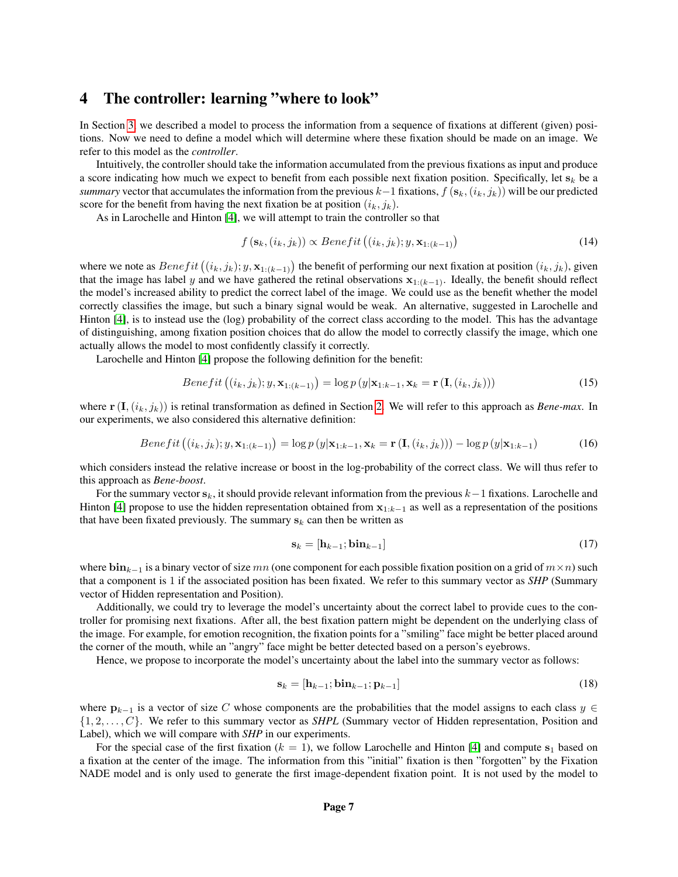### <span id="page-6-0"></span>4 The controller: learning "where to look"

In Section [3,](#page-3-3) we described a model to process the information from a sequence of fixations at different (given) positions. Now we need to define a model which will determine where these fixation should be made on an image. We refer to this model as the *controller*.

Intuitively, the controller should take the information accumulated from the previous fixations as input and produce a score indicating how much we expect to benefit from each possible next fixation position. Specifically, let  $s_k$  be a *summary* vector that accumulates the information from the previous  $k-1$  fixations,  $f(s_k,(i_k,j_k))$  will be our predicted score for the benefit from having the next fixation be at position  $(i_k, j_k)$ .

As in Larochelle and Hinton [\[4\]](#page-15-3), we will attempt to train the controller so that

$$
f(\mathbf{s}_k,(i_k,j_k)) \propto \text{Beneft}\left((i_k,j_k);y,\mathbf{x}_{1:(k-1)}\right) \tag{14}
$$

where we note as  $Benefit((i_k,j_k); y, \mathbf{x}_{1:(k-1)})$  the benefit of performing our next fixation at position  $(i_k, j_k)$ , given that the image has label y and we have gathered the retinal observations  $x_{1:(k-1)}$ . Ideally, the benefit should reflect the model's increased ability to predict the correct label of the image. We could use as the benefit whether the model correctly classifies the image, but such a binary signal would be weak. An alternative, suggested in Larochelle and Hinton [\[4\]](#page-15-3), is to instead use the (log) probability of the correct class according to the model. This has the advantage of distinguishing, among fixation position choices that do allow the model to correctly classify the image, which one actually allows the model to most confidently classify it correctly.

Larochelle and Hinton [\[4\]](#page-15-3) propose the following definition for the benefit:

$$
Benefit\left((i_k,j_k);y,\mathbf{x}_{1:(k-1)}\right) = \log p\left(y|\mathbf{x}_{1:k-1},\mathbf{x}_k = \mathbf{r}\left(\mathbf{I},(i_k,j_k)\right)\right) \tag{15}
$$

where  $\mathbf{r}(\mathbf{I}, (i_k, j_k))$  is retinal transformation as defined in Section [2.](#page-1-0) We will refer to this approach as *Bene-max*. In our experiments, we also considered this alternative definition:

$$
Benefit\left((i_k,j_k);y,\mathbf{x}_{1:(k-1)}\right) = \log p\left(y|\mathbf{x}_{1:k-1},\mathbf{x}_k = \mathbf{r}\left(\mathbf{I},(i_k,j_k)\right)\right) - \log p\left(y|\mathbf{x}_{1:k-1}\right) \tag{16}
$$

which considers instead the relative increase or boost in the log-probability of the correct class. We will thus refer to this approach as *Bene-boost*.

For the summary vector  $s_k$ , it should provide relevant information from the previous  $k-1$  fixations. Larochelle and Hinton [\[4\]](#page-15-3) propose to use the hidden representation obtained from  $x_{1:k-1}$  as well as a representation of the positions that have been fixated previously. The summary  $s_k$  can then be written as

$$
\mathbf{s}_k = [\mathbf{h}_{k-1}; \mathbf{bin}_{k-1}] \tag{17}
$$

where  $\sin_{k-1}$  is a binary vector of size mn (one component for each possible fixation position on a grid of  $m \times n$ ) such that a component is 1 if the associated position has been fixated. We refer to this summary vector as *SHP* (Summary vector of Hidden representation and Position).

Additionally, we could try to leverage the model's uncertainty about the correct label to provide cues to the controller for promising next fixations. After all, the best fixation pattern might be dependent on the underlying class of the image. For example, for emotion recognition, the fixation points for a "smiling" face might be better placed around the corner of the mouth, while an "angry" face might be better detected based on a person's eyebrows.

Hence, we propose to incorporate the model's uncertainty about the label into the summary vector as follows:

$$
\mathbf{s}_k = [\mathbf{h}_{k-1}; \mathbf{bi}\mathbf{n}_{k-1}; \mathbf{p}_{k-1}] \tag{18}
$$

where  $\mathbf{p}_{k-1}$  is a vector of size C whose components are the probabilities that the model assigns to each class  $y \in \mathbb{R}$ {1, 2, . . . , C}. We refer to this summary vector as *SHPL* (Summary vector of Hidden representation, Position and Label), which we will compare with *SHP* in our experiments.

For the special case of the first fixation ( $k = 1$ ), we follow Larochelle and Hinton [\[4\]](#page-15-3) and compute  $s_1$  based on a fixation at the center of the image. The information from this "initial" fixation is then "forgotten" by the Fixation NADE model and is only used to generate the first image-dependent fixation point. It is not used by the model to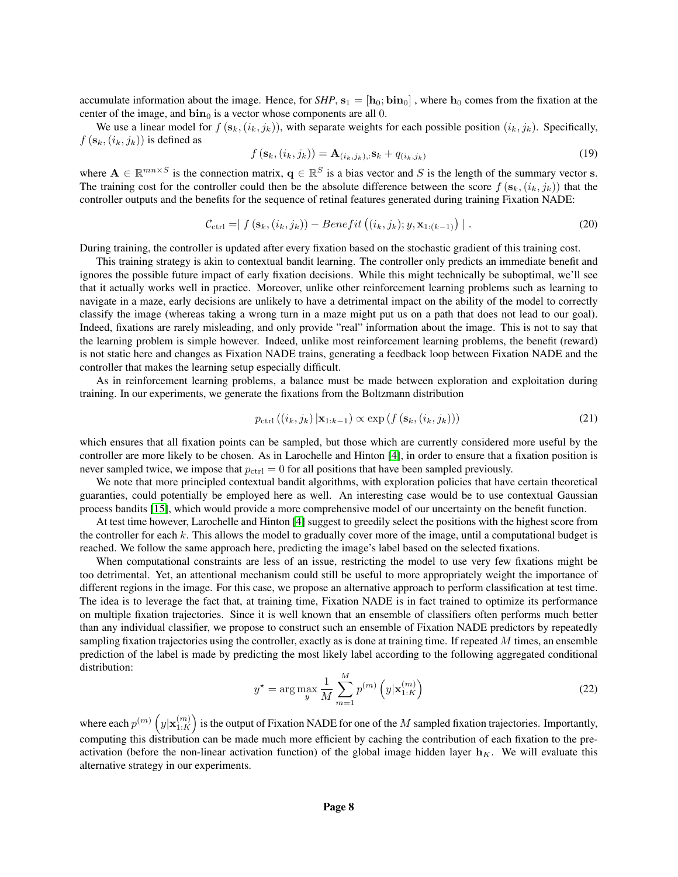accumulate information about the image. Hence, for *SHP*,  $s_1 = [h_0; bin_0]$ , where  $h_0$  comes from the fixation at the center of the image, and  $\sin_0$  is a vector whose components are all 0.

We use a linear model for  $f(\mathbf{s}_k,(i_k,j_k))$ , with separate weights for each possible position  $(i_k, j_k)$ . Specifically,  $f(\mathbf{s}_k,(i_k,j_k))$  is defined as

$$
f(\mathbf{s}_k,(i_k,j_k)) = \mathbf{A}_{(i_k,j_k),\cdot} \mathbf{s}_k + q_{(i_k,j_k)}
$$
\n<sup>(19)</sup>

where  $A \in \mathbb{R}^{mn \times S}$  is the connection matrix,  $q \in \mathbb{R}^S$  is a bias vector and S is the length of the summary vector s. The training cost for the controller could then be the absolute difference between the score  $f(\mathbf{s}_k,(i_k,j_k))$  that the controller outputs and the benefits for the sequence of retinal features generated during training Fixation NADE:

$$
\mathcal{C}_{\text{ctrl}} = \mid f\left(\mathbf{s}_k, (i_k, j_k)\right) - \text{Beneft}\left((i_k, j_k); y, \mathbf{x}_{1:(k-1)}\right) \mid. \tag{20}
$$

During training, the controller is updated after every fixation based on the stochastic gradient of this training cost.

This training strategy is akin to contextual bandit learning. The controller only predicts an immediate benefit and ignores the possible future impact of early fixation decisions. While this might technically be suboptimal, we'll see that it actually works well in practice. Moreover, unlike other reinforcement learning problems such as learning to navigate in a maze, early decisions are unlikely to have a detrimental impact on the ability of the model to correctly classify the image (whereas taking a wrong turn in a maze might put us on a path that does not lead to our goal). Indeed, fixations are rarely misleading, and only provide "real" information about the image. This is not to say that the learning problem is simple however. Indeed, unlike most reinforcement learning problems, the benefit (reward) is not static here and changes as Fixation NADE trains, generating a feedback loop between Fixation NADE and the controller that makes the learning setup especially difficult.

As in reinforcement learning problems, a balance must be made between exploration and exploitation during training. In our experiments, we generate the fixations from the Boltzmann distribution

<span id="page-7-0"></span>
$$
p_{\text{ctrl}}\left(\left(i_k, j_k\right) | \mathbf{x}_{1:k-1}\right) \propto \exp\left(f\left(\mathbf{s}_k, \left(i_k, j_k\right)\right)\right) \tag{21}
$$

which ensures that all fixation points can be sampled, but those which are currently considered more useful by the controller are more likely to be chosen. As in Larochelle and Hinton [\[4\]](#page-15-3), in order to ensure that a fixation position is never sampled twice, we impose that  $p_{\text{ctrl}} = 0$  for all positions that have been sampled previously.

We note that more principled contextual bandit algorithms, with exploration policies that have certain theoretical guaranties, could potentially be employed here as well. An interesting case would be to use contextual Gaussian process bandits [\[15\]](#page-15-14), which would provide a more comprehensive model of our uncertainty on the benefit function.

At test time however, Larochelle and Hinton [\[4\]](#page-15-3) suggest to greedily select the positions with the highest score from the controller for each k. This allows the model to gradually cover more of the image, until a computational budget is reached. We follow the same approach here, predicting the image's label based on the selected fixations.

When computational constraints are less of an issue, restricting the model to use very few fixations might be too detrimental. Yet, an attentional mechanism could still be useful to more appropriately weight the importance of different regions in the image. For this case, we propose an alternative approach to perform classification at test time. The idea is to leverage the fact that, at training time, Fixation NADE is in fact trained to optimize its performance on multiple fixation trajectories. Since it is well known that an ensemble of classifiers often performs much better than any individual classifier, we propose to construct such an ensemble of Fixation NADE predictors by repeatedly sampling fixation trajectories using the controller, exactly as is done at training time. If repeated  $M$  times, an ensemble prediction of the label is made by predicting the most likely label according to the following aggregated conditional distribution:

<span id="page-7-1"></span>
$$
y^* = \arg\max_{y} \frac{1}{M} \sum_{m=1}^{M} p^{(m)} \left( y | \mathbf{x}_{1:K}^{(m)} \right)
$$
 (22)

where each  $p^{(m)}\left(y|\mathbf{x}_{1:K}^{(m)}\right)$  $\binom{(m)}{1:K}$  is the output of Fixation NADE for one of the  $M$  sampled fixation trajectories. Importantly, computing this distribution can be made much more efficient by caching the contribution of each fixation to the preactivation (before the non-linear activation function) of the global image hidden layer  $h_K$ . We will evaluate this alternative strategy in our experiments.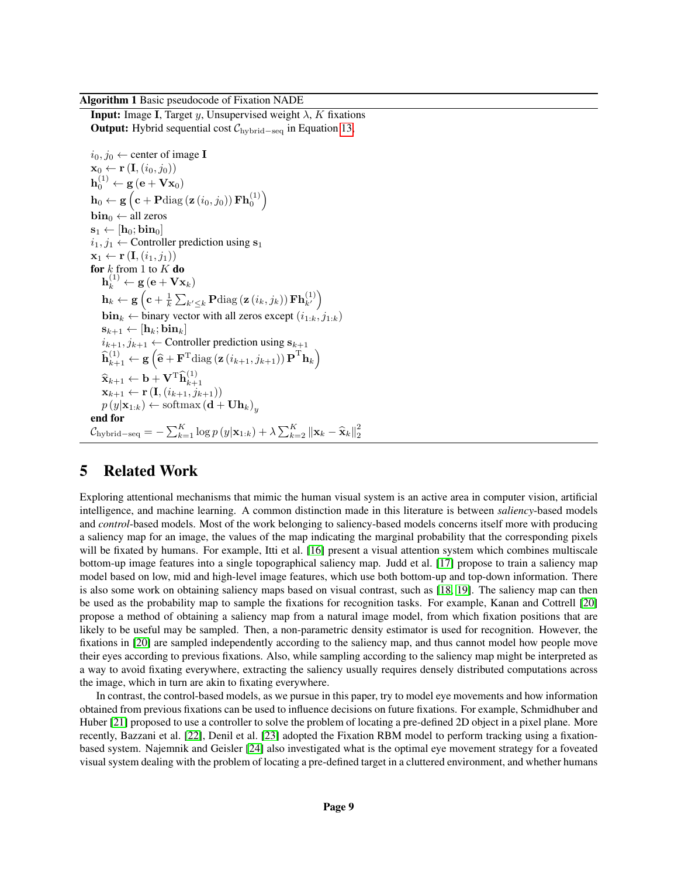Algorithm 1 Basic pseudocode of Fixation NADE

**Input:** Image **I**, Target y, Unsupervised weight  $\lambda$ , K fixations **Output:** Hybrid sequential cost  $C_{hybrid-seq}$  in Equation [13,](#page-5-2)

```
i_0, j_0 \leftarrow center of image I
\mathbf{x}_0 \leftarrow \mathbf{r}\left(\mathbf{I},\left(i_0,j_0\right)\right)\mathbf{h}_0^{(1)} \leftarrow \mathbf{g}\left(\mathbf{e} + \mathbf{V}\mathbf{x}_0\right)\mathbf{h}_0 \leftarrow \mathbf{g}\left(\mathbf{c} + \mathbf{P}\text{diag}\left(\mathbf{z}\left(i_0,j_0\right)\right)\mathbf{F}\mathbf{h}_0^{(1)}\right)\text{bin}_0 \leftarrow \text{all zeros}\mathbf{s}_1 \leftarrow [\mathbf{h}_0; \mathbf{bin}_0]i_1, j_1 \leftarrow Controller prediction using s_1\mathbf{x}_1 \leftarrow \mathbf{r} \left( \mathbf{I}, (i_1, j_1) \right)for k from 1 to K do
       \mathbf{h}_k^{(1)} \leftarrow \mathbf{g}\left(\mathbf{e} + \mathbf{V}\mathbf{x}_k\right)\mathbf{h}_k \leftarrow \mathbf{g}\left(\mathbf{c}+\frac{1}{k}\sum_{k'\leq k}\mathbf{P}\text{diag}\left(\mathbf{z}\left(i_k,j_k\right)\right)\mathbf{F}\mathbf{h}^{(1)}_{k'}\right)\textbf{bin}_k \leftarrow \text{binary vector with all zeros except } (i_{1:k}, j_{1:k})\mathbf{s}_{k+1} \leftarrow [\mathbf{h}_k; \mathbf{bin}_k]i_{k+1}, j_{k+1} \leftarrow Controller prediction using \mathbf{s}_{k+1}\widehat{\mathbf{h}}_{k+1}^{(1)} \leftarrow \mathbf{g}\left(\widehat{\mathbf{e}} + \mathbf{F}^{\mathrm{T}} \text{diag}\left(\mathbf{z}\left(i_{k+1}, j_{k+1}\right)\right) \mathbf{P}^{\mathrm{T}} \mathbf{h}_{k}\right)\widehat{\mathbf{x}}_{k+1} \leftarrow \mathbf{b} + \mathbf{V}^{\mathrm{T}} \widehat{\mathbf{h}}_{k+1}^{(1)}\mathbf{x}_{k+1} \leftarrow \mathbf{r} (\mathbf{I}, (i_{k+1}, j_{k+1}))p(y|\mathbf{x}_{1:k}) \leftarrow \text{softmax}(\mathbf{d} + \mathbf{U}\mathbf{h}_{k})end for
\mathcal{C}_{\text{hybrid-seq}} = -\sum_{k=1}^{K} \log p(y|\mathbf{x}_{1:k}) + \lambda \sum_{k=2}^{K} ||\mathbf{x}_k - \hat{\mathbf{x}}_k||_2^2
```
# 5 Related Work

Exploring attentional mechanisms that mimic the human visual system is an active area in computer vision, artificial intelligence, and machine learning. A common distinction made in this literature is between *saliency*-based models and *control*-based models. Most of the work belonging to saliency-based models concerns itself more with producing a saliency map for an image, the values of the map indicating the marginal probability that the corresponding pixels will be fixated by humans. For example, Itti et al. [\[16\]](#page-15-15) present a visual attention system which combines multiscale bottom-up image features into a single topographical saliency map. Judd et al. [\[17\]](#page-15-16) propose to train a saliency map model based on low, mid and high-level image features, which use both bottom-up and top-down information. There is also some work on obtaining saliency maps based on visual contrast, such as [\[18,](#page-15-17) [19\]](#page-16-0). The saliency map can then be used as the probability map to sample the fixations for recognition tasks. For example, Kanan and Cottrell [\[20\]](#page-16-1) propose a method of obtaining a saliency map from a natural image model, from which fixation positions that are likely to be useful may be sampled. Then, a non-parametric density estimator is used for recognition. However, the fixations in [\[20\]](#page-16-1) are sampled independently according to the saliency map, and thus cannot model how people move their eyes according to previous fixations. Also, while sampling according to the saliency map might be interpreted as a way to avoid fixating everywhere, extracting the saliency usually requires densely distributed computations across the image, which in turn are akin to fixating everywhere.

In contrast, the control-based models, as we pursue in this paper, try to model eye movements and how information obtained from previous fixations can be used to influence decisions on future fixations. For example, Schmidhuber and Huber [\[21\]](#page-16-2) proposed to use a controller to solve the problem of locating a pre-defined 2D object in a pixel plane. More recently, Bazzani et al. [\[22\]](#page-16-3), Denil et al. [\[23\]](#page-16-4) adopted the Fixation RBM model to perform tracking using a fixationbased system. Najemnik and Geisler [\[24\]](#page-16-5) also investigated what is the optimal eye movement strategy for a foveated visual system dealing with the problem of locating a pre-defined target in a cluttered environment, and whether humans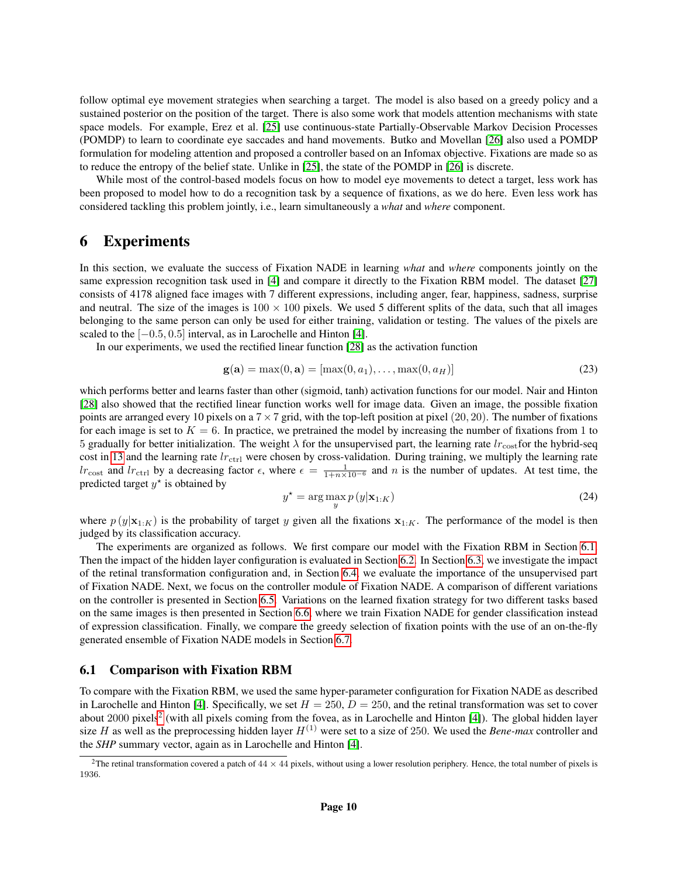follow optimal eye movement strategies when searching a target. The model is also based on a greedy policy and a sustained posterior on the position of the target. There is also some work that models attention mechanisms with state space models. For example, Erez et al. [\[25\]](#page-16-6) use continuous-state Partially-Observable Markov Decision Processes (POMDP) to learn to coordinate eye saccades and hand movements. Butko and Movellan [\[26\]](#page-16-7) also used a POMDP formulation for modeling attention and proposed a controller based on an Infomax objective. Fixations are made so as to reduce the entropy of the belief state. Unlike in [\[25\]](#page-16-6), the state of the POMDP in [\[26\]](#page-16-7) is discrete.

While most of the control-based models focus on how to model eye movements to detect a target, less work has been proposed to model how to do a recognition task by a sequence of fixations, as we do here. Even less work has considered tackling this problem jointly, i.e., learn simultaneously a *what* and *where* component.

### 6 Experiments

In this section, we evaluate the success of Fixation NADE in learning *what* and *where* components jointly on the same expression recognition task used in [\[4\]](#page-15-3) and compare it directly to the Fixation RBM model. The dataset [\[27\]](#page-16-8) consists of 4178 aligned face images with 7 different expressions, including anger, fear, happiness, sadness, surprise and neutral. The size of the images is  $100 \times 100$  pixels. We used 5 different splits of the data, such that all images belonging to the same person can only be used for either training, validation or testing. The values of the pixels are scaled to the  $[-0.5, 0.5]$  interval, as in Larochelle and Hinton [\[4\]](#page-15-3).

In our experiments, we used the rectified linear function [\[28\]](#page-16-9) as the activation function

$$
\mathbf{g}(\mathbf{a}) = \max(0, \mathbf{a}) = [\max(0, a_1), \dots, \max(0, a_H)] \tag{23}
$$

which performs better and learns faster than other (sigmoid, tanh) activation functions for our model. Nair and Hinton [\[28\]](#page-16-9) also showed that the rectified linear function works well for image data. Given an image, the possible fixation points are arranged every 10 pixels on a  $7 \times 7$  grid, with the top-left position at pixel (20, 20). The number of fixations for each image is set to  $K = 6$ . In practice, we pretrained the model by increasing the number of fixations from 1 to 5 gradually for better initialization. The weight  $\lambda$  for the unsupervised part, the learning rate  $lr_{\text{cost}}$  for the hybrid-seq cost in [13](#page-5-2) and the learning rate  $lr_{\text{ctrl}}$  were chosen by cross-validation. During training, we multiply the learning rate  $lr_{\text{cost}}$  and  $lr_{\text{ctrl}}$  by a decreasing factor  $\epsilon$ , where  $\epsilon = \frac{1}{1+n\times10^{-6}}$  and n is the number of updates. At test time, the predicted target  $y^*$  is obtained by

$$
y^* = \arg\max_{y} p\left(y|\mathbf{x}_{1:K}\right) \tag{24}
$$

where  $p(y|\mathbf{x}_{1:K})$  is the probability of target y given all the fixations  $\mathbf{x}_{1:K}$ . The performance of the model is then judged by its classification accuracy.

The experiments are organized as follows. We first compare our model with the Fixation RBM in Section [6.1.](#page-9-0) Then the impact of the hidden layer configuration is evaluated in Section [6.2.](#page-10-0) In Section [6.3,](#page-11-0) we investigate the impact of the retinal transformation configuration and, in Section [6.4,](#page-11-1) we evaluate the importance of the unsupervised part of Fixation NADE. Next, we focus on the controller module of Fixation NADE. A comparison of different variations on the controller is presented in Section [6.5.](#page-12-0) Variations on the learned fixation strategy for two different tasks based on the same images is then presented in Section [6.6,](#page-12-1) where we train Fixation NADE for gender classification instead of expression classification. Finally, we compare the greedy selection of fixation points with the use of an on-the-fly generated ensemble of Fixation NADE models in Section [6.7.](#page-13-0)

#### <span id="page-9-0"></span>6.1 Comparison with Fixation RBM

To compare with the Fixation RBM, we used the same hyper-parameter configuration for Fixation NADE as described in Larochelle and Hinton [\[4\]](#page-15-3). Specifically, we set  $H = 250$ ,  $D = 250$ , and the retinal transformation was set to cover about  $2000$  $2000$  pixels<sup>2</sup> (with all pixels coming from the fovea, as in Larochelle and Hinton [\[4\]](#page-15-3)). The global hidden layer size H as well as the preprocessing hidden layer  $H^{(1)}$  were set to a size of 250. We used the *Bene-max* controller and the *SHP* summary vector, again as in Larochelle and Hinton [\[4\]](#page-15-3).

<span id="page-9-1"></span><sup>&</sup>lt;sup>2</sup>The retinal transformation covered a patch of  $44 \times 44$  pixels, without using a lower resolution periphery. Hence, the total number of pixels is 1936.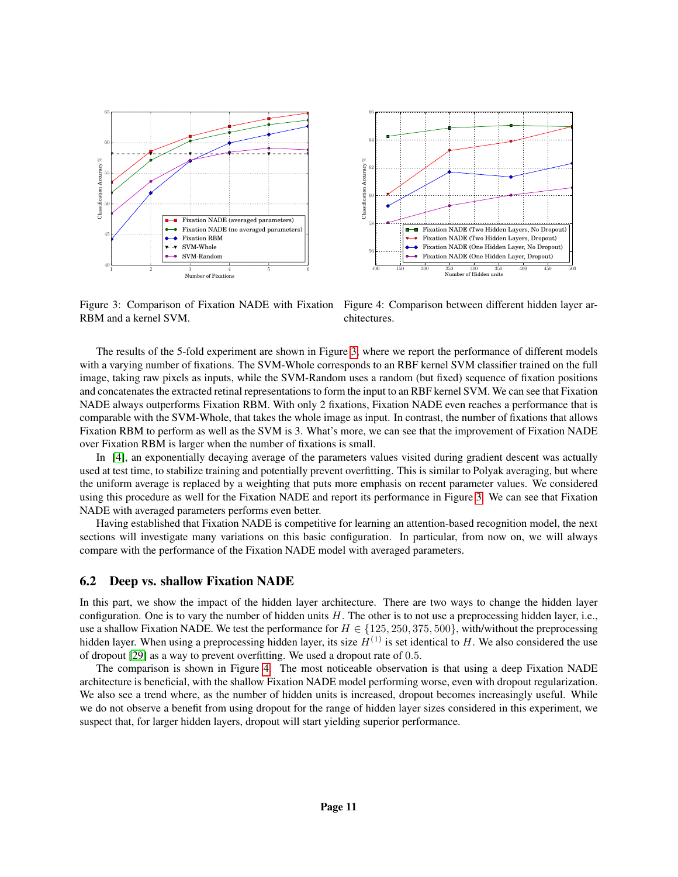



<span id="page-10-1"></span>Figure 3: Comparison of Fixation NADE with Fixation RBM and a kernel SVM.

<span id="page-10-2"></span>Figure 4: Comparison between different hidden layer architectures.

The results of the 5-fold experiment are shown in Figure [3,](#page-10-1) where we report the performance of different models with a varying number of fixations. The SVM-Whole corresponds to an RBF kernel SVM classifier trained on the full image, taking raw pixels as inputs, while the SVM-Random uses a random (but fixed) sequence of fixation positions and concatenates the extracted retinal representations to form the input to an RBF kernel SVM. We can see that Fixation NADE always outperforms Fixation RBM. With only 2 fixations, Fixation NADE even reaches a performance that is comparable with the SVM-Whole, that takes the whole image as input. In contrast, the number of fixations that allows Fixation RBM to perform as well as the SVM is 3. What's more, we can see that the improvement of Fixation NADE over Fixation RBM is larger when the number of fixations is small.

In [\[4\]](#page-15-3), an exponentially decaying average of the parameters values visited during gradient descent was actually used at test time, to stabilize training and potentially prevent overfitting. This is similar to Polyak averaging, but where the uniform average is replaced by a weighting that puts more emphasis on recent parameter values. We considered using this procedure as well for the Fixation NADE and report its performance in Figure [3.](#page-10-1) We can see that Fixation NADE with averaged parameters performs even better.

Having established that Fixation NADE is competitive for learning an attention-based recognition model, the next sections will investigate many variations on this basic configuration. In particular, from now on, we will always compare with the performance of the Fixation NADE model with averaged parameters.

#### <span id="page-10-0"></span>6.2 Deep vs. shallow Fixation NADE

In this part, we show the impact of the hidden layer architecture. There are two ways to change the hidden layer configuration. One is to vary the number of hidden units  $H$ . The other is to not use a preprocessing hidden layer, i.e., use a shallow Fixation NADE. We test the performance for  $H \in \{125, 250, 375, 500\}$ , with/without the preprocessing hidden layer. When using a preprocessing hidden layer, its size  $H^{(1)}$  is set identical to H. We also considered the use of dropout [\[29\]](#page-16-10) as a way to prevent overfitting. We used a dropout rate of 0.5.

The comparison is shown in Figure [4.](#page-10-2) The most noticeable observation is that using a deep Fixation NADE architecture is beneficial, with the shallow Fixation NADE model performing worse, even with dropout regularization. We also see a trend where, as the number of hidden units is increased, dropout becomes increasingly useful. While we do not observe a benefit from using dropout for the range of hidden layer sizes considered in this experiment, we suspect that, for larger hidden layers, dropout will start yielding superior performance.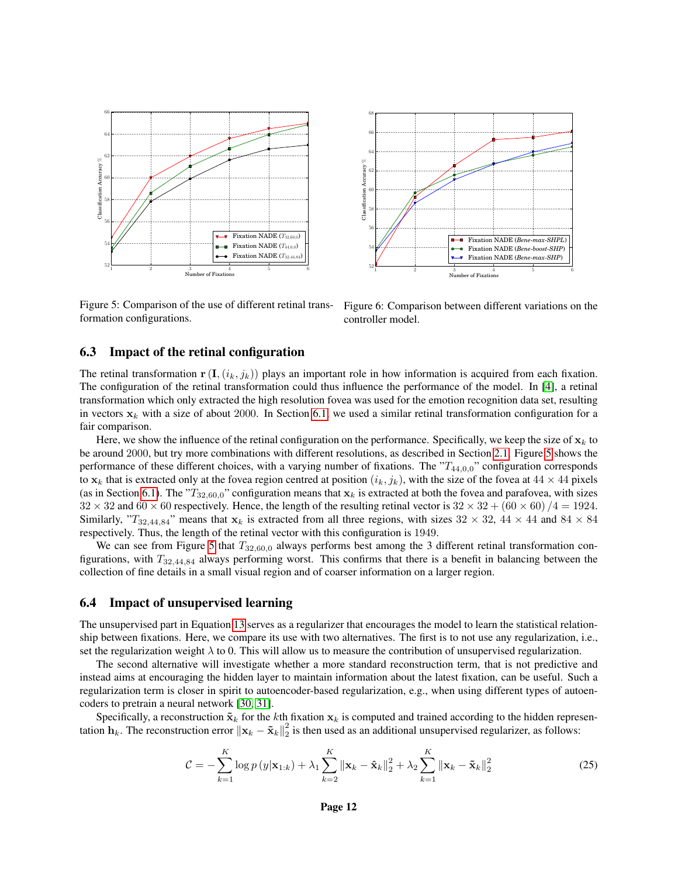



<span id="page-11-2"></span>Figure 5: Comparison of the use of different retinal transformation configurations.

<span id="page-11-4"></span>Figure 6: Comparison between different variations on the controller model.

#### <span id="page-11-0"></span>6.3 Impact of the retinal configuration

The retinal transformation  $\mathbf{r}(\mathbf{I}, (i_k, j_k))$  plays an important role in how information is acquired from each fixation. The configuration of the retinal transformation could thus influence the performance of the model. In [\[4\]](#page-15-3), a retinal transformation which only extracted the high resolution fovea was used for the emotion recognition data set, resulting in vectors  $x_k$  with a size of about 2000. In Section [6.1,](#page-9-0) we used a similar retinal transformation configuration for a fair comparison.

Here, we show the influence of the retinal configuration on the performance. Specifically, we keep the size of  $x_k$  to be around 2000, but try more combinations with different resolutions, as described in Section [2.1.](#page-2-1) Figure [5](#page-11-2) shows the performance of these different choices, with a varying number of fixations. The " $T_{44,0,0}$ " configuration corresponds to  $x_k$  that is extracted only at the fovea region centred at position  $(i_k, j_k)$ , with the size of the fovea at  $44 \times 44$  pixels (as in Section [6.1\)](#page-9-0). The " $T_{32,60,0}$ " configuration means that  $x_k$  is extracted at both the fovea and parafovea, with sizes  $32 \times 32$  and  $60 \times 60$  respectively. Hence, the length of the resulting retinal vector is  $32 \times 32 + (60 \times 60) / 4 = 1924$ . Similarly, " $T_{32,44,84}$ " means that  $x_k$  is extracted from all three regions, with sizes  $32 \times 32$ ,  $44 \times 44$  and  $84 \times 84$ respectively. Thus, the length of the retinal vector with this configuration is 1949.

We can see from Figure [5](#page-11-2) that  $T_{32,60,0}$  always performs best among the 3 different retinal transformation configurations, with  $T_{32,44,84}$  always performing worst. This confirms that there is a benefit in balancing between the collection of fine details in a small visual region and of coarser information on a larger region.

#### <span id="page-11-1"></span>6.4 Impact of unsupervised learning

The unsupervised part in Equation [13](#page-5-2) serves as a regularizer that encourages the model to learn the statistical relationship between fixations. Here, we compare its use with two alternatives. The first is to not use any regularization, i.e., set the regularization weight  $\lambda$  to 0. This will allow us to measure the contribution of unsupervised regularization.

The second alternative will investigate whether a more standard reconstruction term, that is not predictive and instead aims at encouraging the hidden layer to maintain information about the latest fixation, can be useful. Such a regularization term is closer in spirit to autoencoder-based regularization, e.g., when using different types of autoencoders to pretrain a neural network [\[30,](#page-16-11) [31\]](#page-16-12).

Specifically, a reconstruction  $\tilde{\mathbf{x}}_k$  for the kth fixation  $\mathbf{x}_k$  is computed and trained according to the hidden representation  $\mathbf{h}_k$ . The reconstruction error  $\|\mathbf{x}_k - \tilde{\mathbf{x}}_k\|_2^2$  is then used as an additional unsupervised regularizer, as follows:

<span id="page-11-3"></span>
$$
C = -\sum_{k=1}^{K} \log p(y|\mathbf{x}_{1:k}) + \lambda_1 \sum_{k=2}^{K} ||\mathbf{x}_k - \hat{\mathbf{x}}_k||_2^2 + \lambda_2 \sum_{k=1}^{K} ||\mathbf{x}_k - \tilde{\mathbf{x}}_k||_2^2
$$
 (25)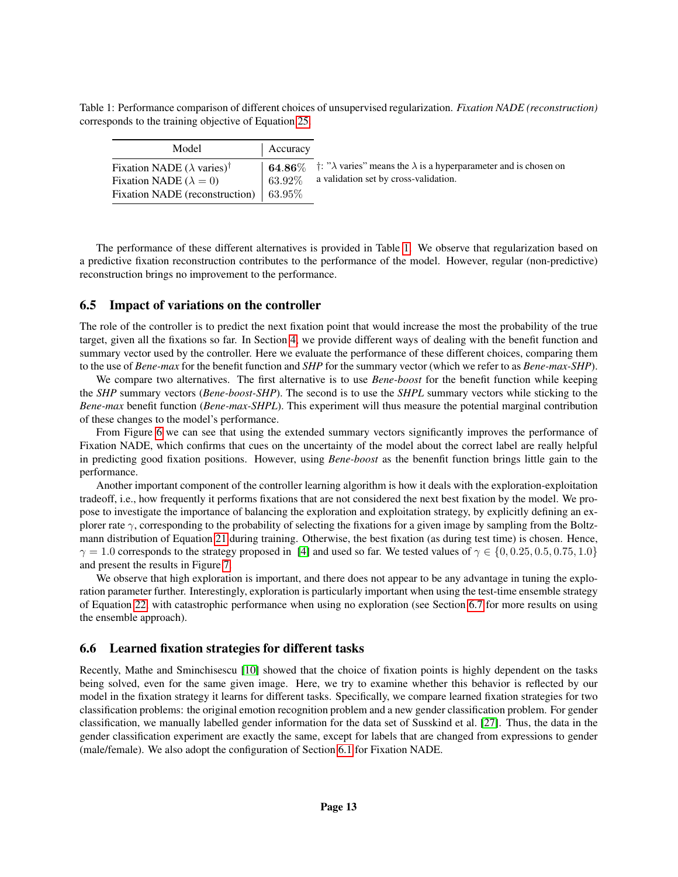<span id="page-12-2"></span>Table 1: Performance comparison of different choices of unsupervised regularization. *Fixation NADE (reconstruction)* corresponds to the training objective of Equation [25.](#page-11-3)

| Model                                          | Accuracy  |                                                                                                          |
|------------------------------------------------|-----------|----------------------------------------------------------------------------------------------------------|
| Fixation NADE ( $\lambda$ varies) <sup>†</sup> |           | <b>64.86</b> % $\uparrow$ : " $\lambda$ varies" means the $\lambda$ is a hyperparameter and is chosen on |
| Fixation NADE ( $\lambda = 0$ )                | $63.92\%$ | a validation set by cross-validation.                                                                    |
| Fixation NADE (reconstruction) $\vert$ 63.95%  |           |                                                                                                          |

The performance of these different alternatives is provided in Table [1.](#page-12-2) We observe that regularization based on a predictive fixation reconstruction contributes to the performance of the model. However, regular (non-predictive) reconstruction brings no improvement to the performance.

#### <span id="page-12-0"></span>6.5 Impact of variations on the controller

The role of the controller is to predict the next fixation point that would increase the most the probability of the true target, given all the fixations so far. In Section [4,](#page-6-0) we provide different ways of dealing with the benefit function and summary vector used by the controller. Here we evaluate the performance of these different choices, comparing them to the use of *Bene-max* for the benefit function and *SHP* for the summary vector (which we refer to as *Bene-max-SHP*).

We compare two alternatives. The first alternative is to use *Bene-boost* for the benefit function while keeping the *SHP* summary vectors (*Bene-boost-SHP*). The second is to use the *SHPL* summary vectors while sticking to the *Bene-max* benefit function (*Bene-max-SHPL*). This experiment will thus measure the potential marginal contribution of these changes to the model's performance.

From Figure [6](#page-11-4) we can see that using the extended summary vectors significantly improves the performance of Fixation NADE, which confirms that cues on the uncertainty of the model about the correct label are really helpful in predicting good fixation positions. However, using *Bene-boost* as the benenfit function brings little gain to the performance.

Another important component of the controller learning algorithm is how it deals with the exploration-exploitation tradeoff, i.e., how frequently it performs fixations that are not considered the next best fixation by the model. We propose to investigate the importance of balancing the exploration and exploitation strategy, by explicitly defining an explorer rate  $\gamma$ , corresponding to the probability of selecting the fixations for a given image by sampling from the Boltzmann distribution of Equation [21](#page-7-0) during training. Otherwise, the best fixation (as during test time) is chosen. Hence,  $\gamma = 1.0$  corresponds to the strategy proposed in [\[4\]](#page-15-3) and used so far. We tested values of  $\gamma \in \{0, 0.25, 0.5, 0.75, 1.0\}$ and present the results in Figure [7.](#page-13-1)

We observe that high exploration is important, and there does not appear to be any advantage in tuning the exploration parameter further. Interestingly, exploration is particularly important when using the test-time ensemble strategy of Equation [22,](#page-7-1) with catastrophic performance when using no exploration (see Section [6.7](#page-13-0) for more results on using the ensemble approach).

### <span id="page-12-1"></span>6.6 Learned fixation strategies for different tasks

Recently, Mathe and Sminchisescu [\[10\]](#page-15-9) showed that the choice of fixation points is highly dependent on the tasks being solved, even for the same given image. Here, we try to examine whether this behavior is reflected by our model in the fixation strategy it learns for different tasks. Specifically, we compare learned fixation strategies for two classification problems: the original emotion recognition problem and a new gender classification problem. For gender classification, we manually labelled gender information for the data set of Susskind et al. [\[27\]](#page-16-8). Thus, the data in the gender classification experiment are exactly the same, except for labels that are changed from expressions to gender (male/female). We also adopt the configuration of Section [6.1](#page-9-0) for Fixation NADE.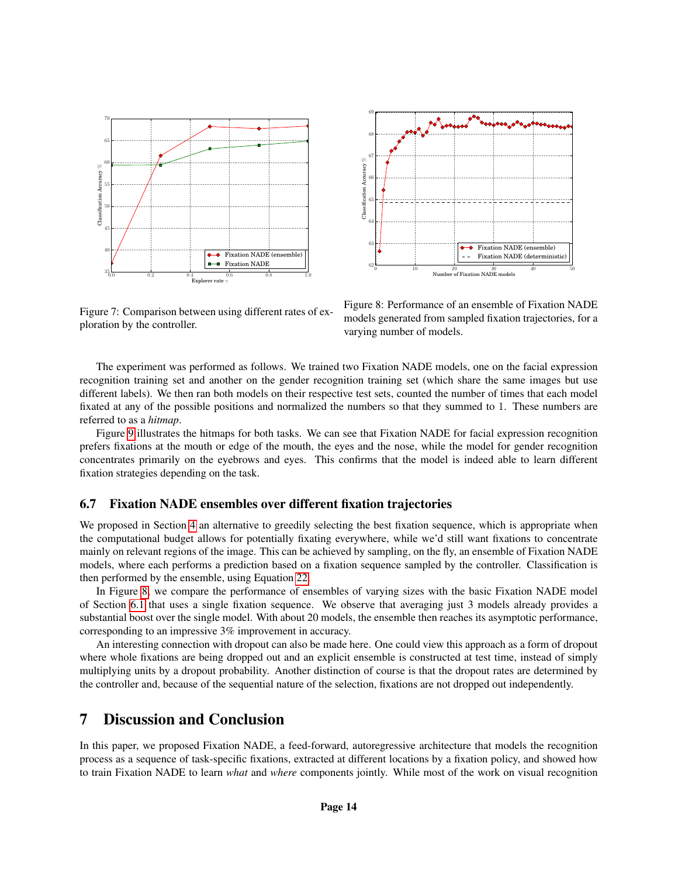



<span id="page-13-1"></span>Figure 7: Comparison between using different rates of exploration by the controller.

<span id="page-13-2"></span>Figure 8: Performance of an ensemble of Fixation NADE models generated from sampled fixation trajectories, for a varying number of models.

The experiment was performed as follows. We trained two Fixation NADE models, one on the facial expression recognition training set and another on the gender recognition training set (which share the same images but use different labels). We then ran both models on their respective test sets, counted the number of times that each model fixated at any of the possible positions and normalized the numbers so that they summed to 1. These numbers are referred to as a *hitmap*.

Figure [9](#page-14-0) illustrates the hitmaps for both tasks. We can see that Fixation NADE for facial expression recognition prefers fixations at the mouth or edge of the mouth, the eyes and the nose, while the model for gender recognition concentrates primarily on the eyebrows and eyes. This confirms that the model is indeed able to learn different fixation strategies depending on the task.

#### <span id="page-13-0"></span>6.7 Fixation NADE ensembles over different fixation trajectories

We proposed in Section [4](#page-6-0) an alternative to greedily selecting the best fixation sequence, which is appropriate when the computational budget allows for potentially fixating everywhere, while we'd still want fixations to concentrate mainly on relevant regions of the image. This can be achieved by sampling, on the fly, an ensemble of Fixation NADE models, where each performs a prediction based on a fixation sequence sampled by the controller. Classification is then performed by the ensemble, using Equation [22.](#page-7-1)

In Figure [8,](#page-13-2) we compare the performance of ensembles of varying sizes with the basic Fixation NADE model of Section [6.1](#page-9-0) that uses a single fixation sequence. We observe that averaging just 3 models already provides a substantial boost over the single model. With about 20 models, the ensemble then reaches its asymptotic performance, corresponding to an impressive 3% improvement in accuracy.

An interesting connection with dropout can also be made here. One could view this approach as a form of dropout where whole fixations are being dropped out and an explicit ensemble is constructed at test time, instead of simply multiplying units by a dropout probability. Another distinction of course is that the dropout rates are determined by the controller and, because of the sequential nature of the selection, fixations are not dropped out independently.

# 7 Discussion and Conclusion

In this paper, we proposed Fixation NADE, a feed-forward, autoregressive architecture that models the recognition process as a sequence of task-specific fixations, extracted at different locations by a fixation policy, and showed how to train Fixation NADE to learn *what* and *where* components jointly. While most of the work on visual recognition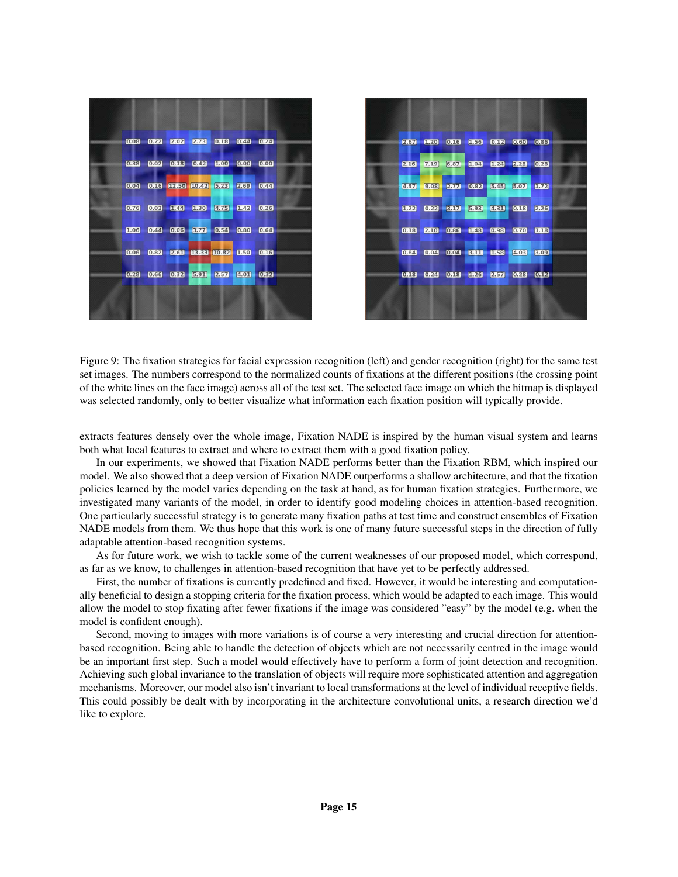



<span id="page-14-0"></span>Figure 9: The fixation strategies for facial expression recognition (left) and gender recognition (right) for the same test set images. The numbers correspond to the normalized counts of fixations at the different positions (the crossing point of the white lines on the face image) across all of the test set. The selected face image on which the hitmap is displayed was selected randomly, only to better visualize what information each fixation position will typically provide.

extracts features densely over the whole image, Fixation NADE is inspired by the human visual system and learns both what local features to extract and where to extract them with a good fixation policy.

In our experiments, we showed that Fixation NADE performs better than the Fixation RBM, which inspired our model. We also showed that a deep version of Fixation NADE outperforms a shallow architecture, and that the fixation policies learned by the model varies depending on the task at hand, as for human fixation strategies. Furthermore, we investigated many variants of the model, in order to identify good modeling choices in attention-based recognition. One particularly successful strategy is to generate many fixation paths at test time and construct ensembles of Fixation NADE models from them. We thus hope that this work is one of many future successful steps in the direction of fully adaptable attention-based recognition systems.

As for future work, we wish to tackle some of the current weaknesses of our proposed model, which correspond, as far as we know, to challenges in attention-based recognition that have yet to be perfectly addressed.

First, the number of fixations is currently predefined and fixed. However, it would be interesting and computationally beneficial to design a stopping criteria for the fixation process, which would be adapted to each image. This would allow the model to stop fixating after fewer fixations if the image was considered "easy" by the model (e.g. when the model is confident enough).

Second, moving to images with more variations is of course a very interesting and crucial direction for attentionbased recognition. Being able to handle the detection of objects which are not necessarily centred in the image would be an important first step. Such a model would effectively have to perform a form of joint detection and recognition. Achieving such global invariance to the translation of objects will require more sophisticated attention and aggregation mechanisms. Moreover, our model also isn't invariant to local transformations at the level of individual receptive fields. This could possibly be dealt with by incorporating in the architecture convolutional units, a research direction we'd like to explore.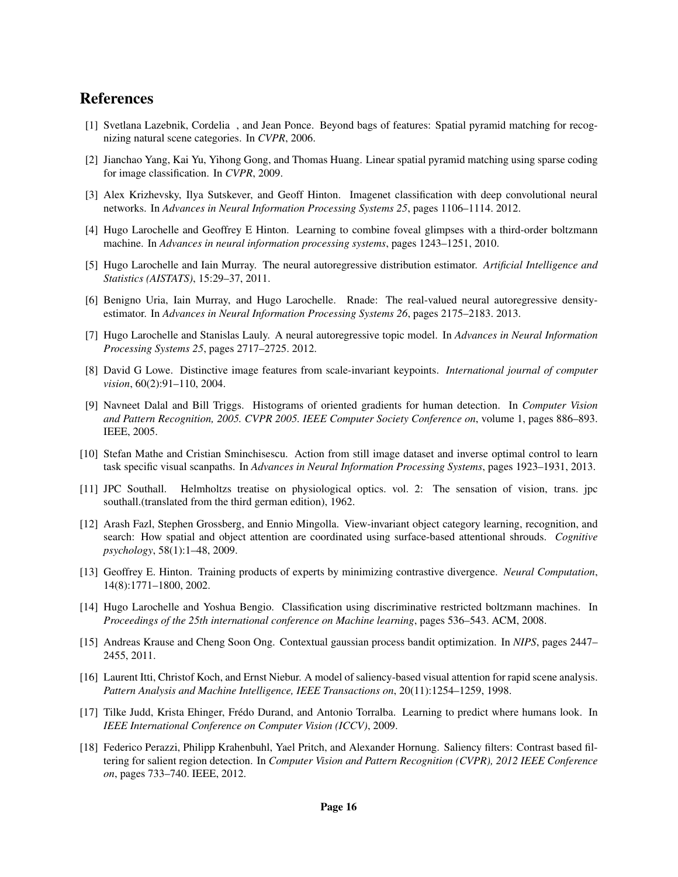# References

- <span id="page-15-0"></span>[1] Svetlana Lazebnik, Cordelia , and Jean Ponce. Beyond bags of features: Spatial pyramid matching for recognizing natural scene categories. In *CVPR*, 2006.
- <span id="page-15-1"></span>[2] Jianchao Yang, Kai Yu, Yihong Gong, and Thomas Huang. Linear spatial pyramid matching using sparse coding for image classification. In *CVPR*, 2009.
- <span id="page-15-2"></span>[3] Alex Krizhevsky, Ilya Sutskever, and Geoff Hinton. Imagenet classification with deep convolutional neural networks. In *Advances in Neural Information Processing Systems 25*, pages 1106–1114. 2012.
- <span id="page-15-3"></span>[4] Hugo Larochelle and Geoffrey E Hinton. Learning to combine foveal glimpses with a third-order boltzmann machine. In *Advances in neural information processing systems*, pages 1243–1251, 2010.
- <span id="page-15-4"></span>[5] Hugo Larochelle and Iain Murray. The neural autoregressive distribution estimator. *Artificial Intelligence and Statistics (AISTATS)*, 15:29–37, 2011.
- <span id="page-15-5"></span>[6] Benigno Uria, Iain Murray, and Hugo Larochelle. Rnade: The real-valued neural autoregressive densityestimator. In *Advances in Neural Information Processing Systems 26*, pages 2175–2183. 2013.
- <span id="page-15-6"></span>[7] Hugo Larochelle and Stanislas Lauly. A neural autoregressive topic model. In *Advances in Neural Information Processing Systems 25*, pages 2717–2725. 2012.
- <span id="page-15-7"></span>[8] David G Lowe. Distinctive image features from scale-invariant keypoints. *International journal of computer vision*, 60(2):91–110, 2004.
- <span id="page-15-8"></span>[9] Navneet Dalal and Bill Triggs. Histograms of oriented gradients for human detection. In *Computer Vision and Pattern Recognition, 2005. CVPR 2005. IEEE Computer Society Conference on*, volume 1, pages 886–893. IEEE, 2005.
- <span id="page-15-9"></span>[10] Stefan Mathe and Cristian Sminchisescu. Action from still image dataset and inverse optimal control to learn task specific visual scanpaths. In *Advances in Neural Information Processing Systems*, pages 1923–1931, 2013.
- <span id="page-15-10"></span>[11] JPC Southall. Helmholtzs treatise on physiological optics. vol. 2: The sensation of vision, trans. jpc southall.(translated from the third german edition), 1962.
- <span id="page-15-11"></span>[12] Arash Fazl, Stephen Grossberg, and Ennio Mingolla. View-invariant object category learning, recognition, and search: How spatial and object attention are coordinated using surface-based attentional shrouds. *Cognitive psychology*, 58(1):1–48, 2009.
- <span id="page-15-12"></span>[13] Geoffrey E. Hinton. Training products of experts by minimizing contrastive divergence. *Neural Computation*, 14(8):1771–1800, 2002.
- <span id="page-15-13"></span>[14] Hugo Larochelle and Yoshua Bengio. Classification using discriminative restricted boltzmann machines. In *Proceedings of the 25th international conference on Machine learning*, pages 536–543. ACM, 2008.
- <span id="page-15-14"></span>[15] Andreas Krause and Cheng Soon Ong. Contextual gaussian process bandit optimization. In *NIPS*, pages 2447– 2455, 2011.
- <span id="page-15-15"></span>[16] Laurent Itti, Christof Koch, and Ernst Niebur. A model of saliency-based visual attention for rapid scene analysis. *Pattern Analysis and Machine Intelligence, IEEE Transactions on*, 20(11):1254–1259, 1998.
- <span id="page-15-16"></span>[17] Tilke Judd, Krista Ehinger, Fredo Durand, and Antonio Torralba. Learning to predict where humans look. In ´ *IEEE International Conference on Computer Vision (ICCV)*, 2009.
- <span id="page-15-17"></span>[18] Federico Perazzi, Philipp Krahenbuhl, Yael Pritch, and Alexander Hornung. Saliency filters: Contrast based filtering for salient region detection. In *Computer Vision and Pattern Recognition (CVPR), 2012 IEEE Conference on*, pages 733–740. IEEE, 2012.